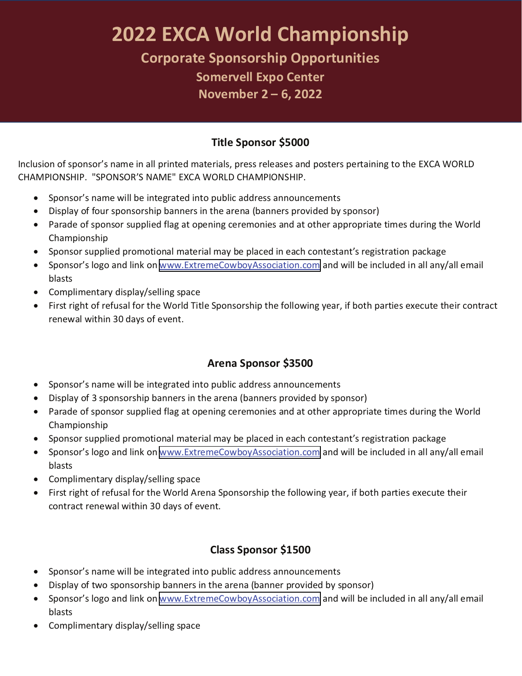# **2022 EXCA World Championship**

**Corporate Sponsorship Opportunities**

**Somervell Expo Center November 2 – 6, 20<sup>22</sup>**

### **Title Sponsor \$5000**

Inclusion of sponsor's name in all printed materials, press releases and posters pertaining to the EXCA WORLD<br>CHAMPIONSHIP. "SPONSOR'S NAME" EXCA WORLD CHAMPIONSHIP.

- Sponsor's name will be integrated into public address announcements
- Display of four sponsorship banners in the arena (banners provided by sponsor)
- Parade of sponsor supplied flag at opening ceremonies and at other appropriate times during the World Championship
- Sponsor supplied promotional material may be placed in each contestant's registration package
- Sponsor's logo and link on [www.ExtremeCowboyAssociation.com](http://www.ExtremeCowboyAssociation.com) and will be included in all any/all email blasts
- Complimentary display/selling space
- <sup>∑</sup> First right of refusal for the World Title Sponsorship the following year, if both parties execute their contract renewal within 30 days of event.

### **Arena Sponsor \$3500**

- Sponsor's name will be integrated into public address announcements
- ∑ Display of 3 sponsorship banners in the arena (banners provided by sponsor)
- Parade of sponsor supplied flag at opening ceremonies and at other appropriate times during the World Championship
- Sponsor supplied promotional material may be placed in each contestant's registration package
- Sponsor's logo and link on [www.ExtremeCowboyAssociation.com](http://www.ExtremeCowboyAssociation.com) and will be included in all any/all email blasts
- Complimentary display/selling space
- First right of refusal for the World Arena Sponsorship the following year, if both parties execute their contract renewal within 30 days of event.

### **Class Sponsor \$1500**

- Sponsor's name will be integrated into public address announcements
- Display of two sponsorship banners in the arena (banner provided by sponsor)
- Sponsor's logo and link on [www.ExtremeCowboyAssociation.com](http://www.ExtremeCowboyAssociation.com) and will be included in all any/all email blasts
- ∑ Complimentary display/selling space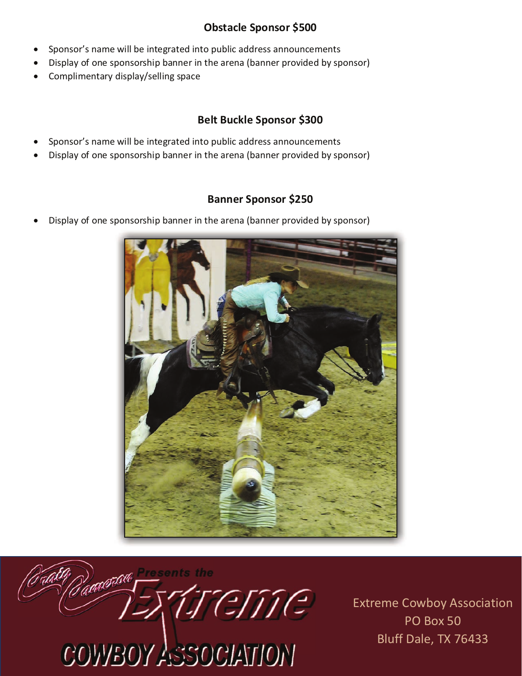#### **Obstacle Sponsor \$500**

- Sponsor's name will be integrated into public address announcements
- Display of one sponsorship banner in the arena (banner provided by sponsor)
- ∑ Complimentary display/selling space

## **Belt Buckle Sponsor \$300**

- Sponsor's name will be integrated into public address announcements
- ∑ Display of one sponsorship banner in the arena (banner provided by sponsor)

### **Banner Sponsor \$250**

Display of one sponsorship banner in the arena (banner provided by sponsor)





Extreme Cowboy Association PO Box 50 Bluff Dale, TX 76433